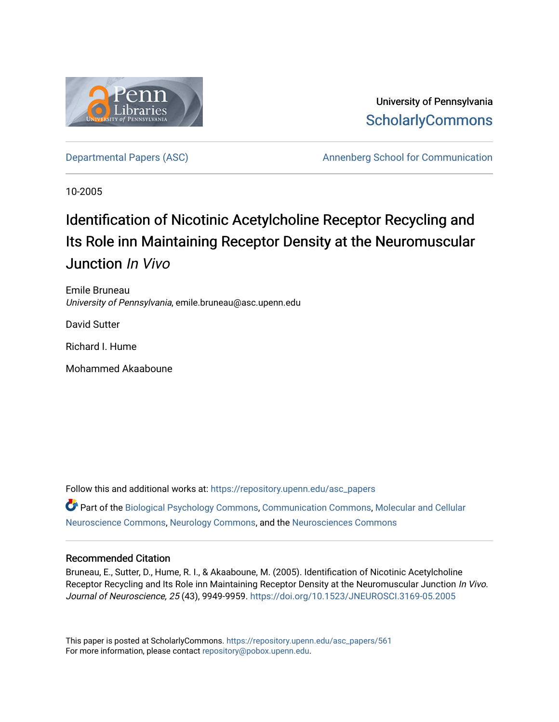

University of Pennsylvania **ScholarlyCommons** 

[Departmental Papers \(ASC\)](https://repository.upenn.edu/asc_papers) and a memberg School for Communication

10-2005

## Identification of Nicotinic Acetylcholine Receptor Recycling and Its Role inn Maintaining Receptor Density at the Neuromuscular Junction In Vivo

Emile Bruneau University of Pennsylvania, emile.bruneau@asc.upenn.edu

David Sutter

Richard I. Hume

Mohammed Akaaboune

Follow this and additional works at: [https://repository.upenn.edu/asc\\_papers](https://repository.upenn.edu/asc_papers?utm_source=repository.upenn.edu%2Fasc_papers%2F561&utm_medium=PDF&utm_campaign=PDFCoverPages) Part of the [Biological Psychology Commons,](http://network.bepress.com/hgg/discipline/405?utm_source=repository.upenn.edu%2Fasc_papers%2F561&utm_medium=PDF&utm_campaign=PDFCoverPages) [Communication Commons,](http://network.bepress.com/hgg/discipline/325?utm_source=repository.upenn.edu%2Fasc_papers%2F561&utm_medium=PDF&utm_campaign=PDFCoverPages) [Molecular and Cellular](http://network.bepress.com/hgg/discipline/60?utm_source=repository.upenn.edu%2Fasc_papers%2F561&utm_medium=PDF&utm_campaign=PDFCoverPages) [Neuroscience Commons,](http://network.bepress.com/hgg/discipline/60?utm_source=repository.upenn.edu%2Fasc_papers%2F561&utm_medium=PDF&utm_campaign=PDFCoverPages) [Neurology Commons](http://network.bepress.com/hgg/discipline/692?utm_source=repository.upenn.edu%2Fasc_papers%2F561&utm_medium=PDF&utm_campaign=PDFCoverPages), and the [Neurosciences Commons](http://network.bepress.com/hgg/discipline/1010?utm_source=repository.upenn.edu%2Fasc_papers%2F561&utm_medium=PDF&utm_campaign=PDFCoverPages) 

### Recommended Citation

Bruneau, E., Sutter, D., Hume, R. I., & Akaaboune, M. (2005). Identification of Nicotinic Acetylcholine Receptor Recycling and Its Role inn Maintaining Receptor Density at the Neuromuscular Junction In Vivo. Journal of Neuroscience, 25 (43), 9949-9959.<https://doi.org/10.1523/JNEUROSCI.3169-05.2005>

This paper is posted at ScholarlyCommons. [https://repository.upenn.edu/asc\\_papers/561](https://repository.upenn.edu/asc_papers/561)  For more information, please contact [repository@pobox.upenn.edu.](mailto:repository@pobox.upenn.edu)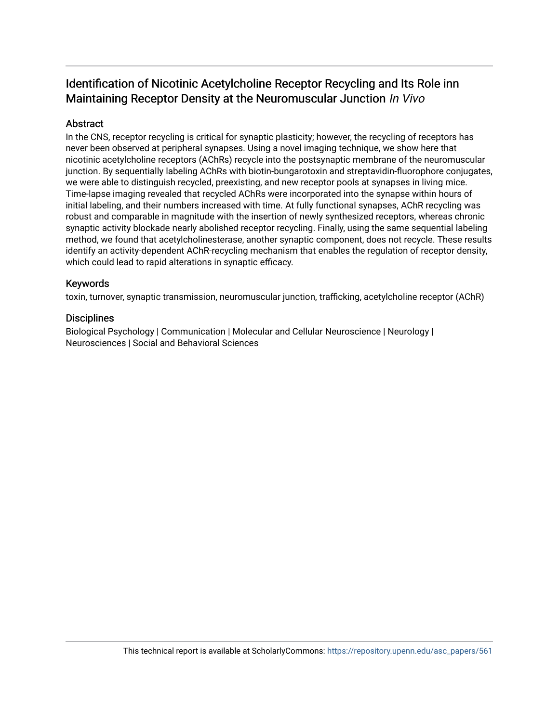## Identification of Nicotinic Acetylcholine Receptor Recycling and Its Role inn Maintaining Receptor Density at the Neuromuscular Junction In Vivo

## Abstract

In the CNS, receptor recycling is critical for synaptic plasticity; however, the recycling of receptors has never been observed at peripheral synapses. Using a novel imaging technique, we show here that nicotinic acetylcholine receptors (AChRs) recycle into the postsynaptic membrane of the neuromuscular junction. By sequentially labeling AChRs with biotin-bungarotoxin and streptavidin-fluorophore conjugates, we were able to distinguish recycled, preexisting, and new receptor pools at synapses in living mice. Time-lapse imaging revealed that recycled AChRs were incorporated into the synapse within hours of initial labeling, and their numbers increased with time. At fully functional synapses, AChR recycling was robust and comparable in magnitude with the insertion of newly synthesized receptors, whereas chronic synaptic activity blockade nearly abolished receptor recycling. Finally, using the same sequential labeling method, we found that acetylcholinesterase, another synaptic component, does not recycle. These results identify an activity-dependent AChR-recycling mechanism that enables the regulation of receptor density, which could lead to rapid alterations in synaptic efficacy.

## Keywords

toxin, turnover, synaptic transmission, neuromuscular junction, trafficking, acetylcholine receptor (AChR)

### **Disciplines**

Biological Psychology | Communication | Molecular and Cellular Neuroscience | Neurology | Neurosciences | Social and Behavioral Sciences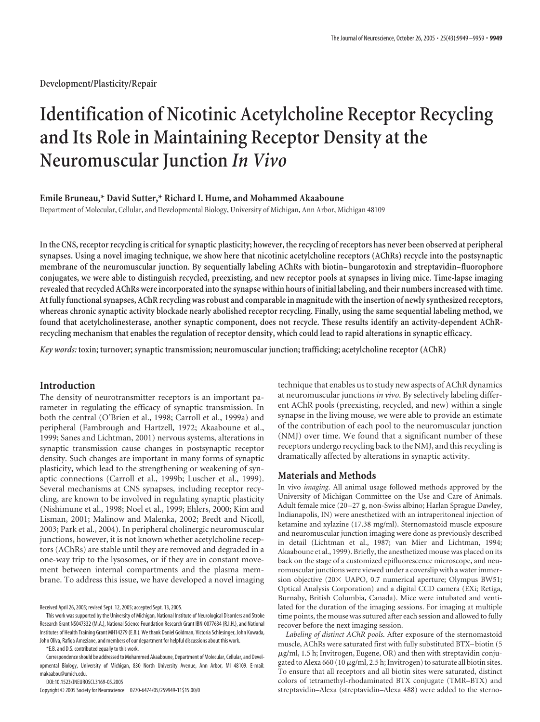**Development/Plasticity/Repair**

# **Identification of Nicotinic Acetylcholine Receptor Recycling and Its Role in Maintaining Receptor Density at the Neuromuscular Junction** *In Vivo*

**Emile Bruneau,\* David Sutter,\* Richard I. Hume, and Mohammed Akaaboune**

Department of Molecular, Cellular, and Developmental Biology, University of Michigan, Ann Arbor, Michigan 48109

**In the CNS, receptor recycling is critical for synaptic plasticity; however, the recycling of receptors has never been observed at peripheral synapses. Using a novel imaging technique, we show here that nicotinic acetylcholine receptors (AChRs) recycle into the postsynaptic membrane of the neuromuscular junction. By sequentially labeling AChRs with biotin–bungarotoxin and streptavidin–fluorophore conjugates, we were able to distinguish recycled, preexisting, and new receptor pools at synapses in living mice. Time-lapse imaging revealed that recycled AChRs were incorporated into the synapse within hours of initial labeling, and their numbers increased with time. At fully functional synapses, AChR recycling was robust and comparable in magnitude with the insertion of newly synthesized receptors, whereas chronic synaptic activity blockade nearly abolished receptor recycling. Finally, using the same sequential labeling method, we found that acetylcholinesterase, another synaptic component, does not recycle. These results identify an activity-dependent AChRrecycling mechanism that enables the regulation of receptor density, which could lead to rapid alterations in synaptic efficacy.**

*Key words:* **toxin; turnover; synaptic transmission; neuromuscular junction; trafficking; acetylcholine receptor (AChR)**

#### **Introduction**

The density of neurotransmitter receptors is an important parameter in regulating the efficacy of synaptic transmission. In both the central (O'Brien et al., 1998; Carroll et al., 1999a) and peripheral (Fambrough and Hartzell, 1972; Akaaboune et al., 1999; Sanes and Lichtman, 2001) nervous systems, alterations in synaptic transmission cause changes in postsynaptic receptor density. Such changes are important in many forms of synaptic plasticity, which lead to the strengthening or weakening of synaptic connections (Carroll et al., 1999b; Luscher et al., 1999). Several mechanisms at CNS synapses, including receptor recycling, are known to be involved in regulating synaptic plasticity (Nishimune et al., 1998; Noel et al., 1999; Ehlers, 2000; Kim and Lisman, 2001; Malinow and Malenka, 2002; Bredt and Nicoll, 2003; Park et al., 2004). In peripheral cholinergic neuromuscular junctions, however, it is not known whether acetylcholine receptors (AChRs) are stable until they are removed and degraded in a one-way trip to the lysosomes, or if they are in constant movement between internal compartments and the plasma membrane. To address this issue, we have developed a novel imaging

Received April 26, 2005; revised Sept. 12, 2005; accepted Sept. 13, 2005.

Correspondence should be addressed to Mohammed Akaaboune, Department of Molecular, Cellular, and Developmental Biology, University of Michigan, 830 North University Avenue, Ann Arbor, MI 48109. E-mail: makaabou@umich.edu.

DOI:10.1523/JNEUROSCI.3169-05.2005

Copyright © 2005 Society for Neuroscience 0270-6474/05/259949-11\$15.00/0

technique that enables us to study new aspects of AChR dynamics at neuromuscular junctions *in vivo*. By selectively labeling different AChR pools (preexisting, recycled, and new) within a single synapse in the living mouse, we were able to provide an estimate of the contribution of each pool to the neuromuscular junction (NMJ) over time. We found that a significant number of these receptors undergo recycling back to the NMJ, and this recycling is dramatically affected by alterations in synaptic activity.

#### **Materials and Methods**

In vivo *imaging*. All animal usage followed methods approved by the University of Michigan Committee on the Use and Care of Animals. Adult female mice (20 –27 g, non-Swiss albino; Harlan Sprague Dawley, Indianapolis, IN) were anesthetized with an intraperitoneal injection of ketamine and xylazine (17.38 mg/ml). Sternomastoid muscle exposure and neuromuscular junction imaging were done as previously described in detail (Lichtman et al., 1987; van Mier and Lichtman, 1994; Akaaboune et al., 1999). Briefly, the anesthetized mouse was placed on its back on the stage of a customized epifluorescence microscope, and neuromuscular junctions were viewed under a coverslip with a water immersion objective ( $20 \times$  UAPO, 0.7 numerical aperture; Olympus BW51; Optical Analysis Corporation) and a digital CCD camera (EXi; Retiga, Burnaby, British Columbia, Canada). Mice were intubated and ventilated for the duration of the imaging sessions. For imaging at multiple time points, the mouse was sutured after each session and allowed to fully recover before the next imaging session.

*Labeling of distinct AChR pools*. After exposure of the sternomastoid muscle, AChRs were saturated first with fully substituted BTX– biotin (5  $\mu$ g/ml, 1.5 h; Invitrogen, Eugene, OR) and then with streptavidin conjugated to Alexa 660 (10  $\mu$ g/ml, 2.5 h; Invitrogen) to saturate all biotin sites. To ensure that all receptors and all biotin sites were saturated, distinct colors of tetramethyl-rhodaminated BTX conjugate (TMR–BTX) and streptavidin–Alexa (streptavidin–Alexa 488) were added to the sterno-

This work was supported by the University of Michigan, National Institute of Neurological Disorders and Stroke Research Grant NS047332 (M.A.), National Science Foundation Research Grant IBN-0077634 (R.I.H.), and National Institutes of Health Training Grant MH14279 (E.B.). We thank Daniel Goldman, Victoria Schlesinger, John Kuwada, John Oliva, Rafiqa Ameziane, and members of our department for helpful discussions about this work.

<sup>\*</sup>E.B. and D.S. contributed equally to this work.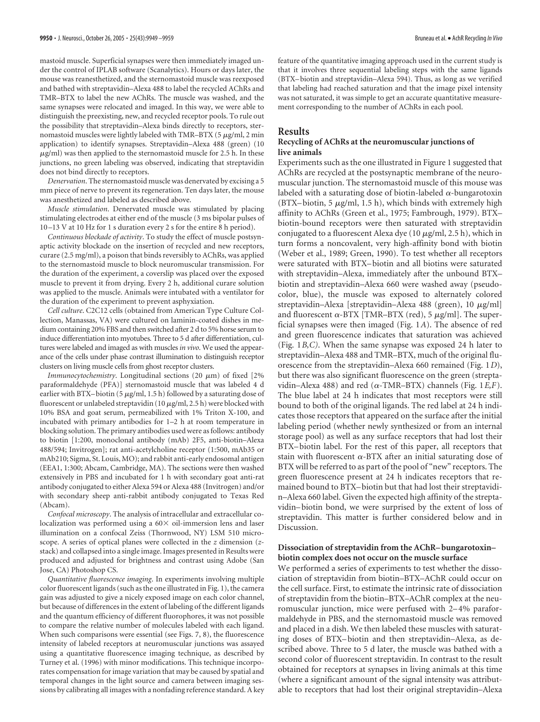mastoid muscle. Superficial synapses were then immediately imaged under the control of IPLAB software (Scanalytics). Hours or days later, the mouse was reanesthetized, and the sternomastoid muscle was reexposed and bathed with streptavidin–Alexa 488 to label the recycled AChRs and TMR–BTX to label the new AChRs. The muscle was washed, and the same synapses were relocated and imaged. In this way, we were able to distinguish the preexisting, new, and recycled receptor pools. To rule out the possibility that streptavidin–Alexa binds directly to receptors, sternomastoid muscles were lightly labeled with TMR–BTX  $(5 \mu g/ml, 2 \text{ min})$ application) to identify synapses. Streptavidin–Alexa 488 (green) (10  $\mu$ g/ml) was then applied to the sternomastoid muscle for 2.5 h. In these junctions, no green labeling was observed, indicating that streptavidin does not bind directly to receptors.

*Denervation*. The sternomastoid muscle was denervated by excising a 5 mm piece of nerve to prevent its regeneration. Ten days later, the mouse was anesthetized and labeled as described above.

*Muscle stimulation*. Denervated muscle was stimulated by placing stimulating electrodes at either end of the muscle (3 ms bipolar pulses of 10 –13 V at 10 Hz for 1 s duration every 2 s for the entire 8 h period).

*Continuous blockade of activity*. To study the effect of muscle postsynaptic activity blockade on the insertion of recycled and new receptors, curare (2.5 mg/ml), a poison that binds reversibly to AChRs, was applied to the sternomastoid muscle to block neuromuscular transmission. For the duration of the experiment, a coverslip was placed over the exposed muscle to prevent it from drying. Every 2 h, additional curare solution was applied to the muscle. Animals were intubated with a ventilator for the duration of the experiment to prevent asphyxiation.

*Cell culture*. C2C12 cells (obtained from American Type Culture Collection, Manassas, VA) were cultured on laminin-coated dishes in medium containing 20% FBS and then switched after 2 d to 5% horse serum to induce differentiation into myotubes. Three to 5 d after differentiation, cultures were labeled and imaged as with muscles *in vivo*. We used the appearance of the cells under phase contrast illumination to distinguish receptor clusters on living muscle cells from ghost receptor clusters.

*Immunocytochemistry*. Longitudinal sections (20  $\mu$ m) of fixed [2% paraformaldehyde (PFA)] sternomastoid muscle that was labeled 4 d earlier with BTX–biotin (5  $\mu$ g/ml, 1.5 h) followed by a saturating dose of fluorescent or unlabeled streptavidin (10  $\mu$ g/ml, 2.5 h) were blocked with 10% BSA and goat serum, permeabilized with 1% Triton X-100, and incubated with primary antibodies for 1–2 h at room temperature in blocking solution. The primary antibodies used were as follows: antibody to biotin [1:200, monoclonal antibody (mAb) 2F5, anti-biotin–Alexa 488/594; Invitrogen]; rat anti-acetylcholine receptor (1:500, mAb35 or mAb210; Sigma, St. Louis, MO); and rabbit anti-early endosomal antigen (EEA1, 1:300; Abcam, Cambridge, MA). The sections were then washed extensively in PBS and incubated for 1 h with secondary goat anti-rat antibody conjugated to either Alexa 594 or Alexa 488 (Invitrogen) and/or with secondary sheep anti-rabbit antibody conjugated to Texas Red (Abcam).

*Confocal microscopy*. The analysis of intracellular and extracellular colocalization was performed using a 60 $\times$  oil-immersion lens and laser illumination on a confocal Zeiss (Thornwood, NY) LSM 510 microscope. A series of optical planes were collected in the *z* dimension (*z*stack) and collapsed into a single image. Images presented in Results were produced and adjusted for brightness and contrast using Adobe (San Jose, CA) Photoshop CS.

*Quantitative fluorescence imaging*. In experiments involving multiple color fluorescent ligands (such as the one illustrated in Fig. 1), the camera gain was adjusted to give a nicely exposed image on each color channel, but because of differences in the extent of labeling of the different ligands and the quantum efficiency of different fluorophores, it was not possible to compare the relative number of molecules labeled with each ligand. When such comparisons were essential (see Figs. 7, 8), the fluorescence intensity of labeled receptors at neuromuscular junctions was assayed using a quantitative fluorescence imaging technique, as described by Turney et al. (1996) with minor modifications. This technique incorporates compensation for image variation that may be caused by spatial and temporal changes in the light source and camera between imaging sessions by calibrating all images with a nonfading reference standard. A key

feature of the quantitative imaging approach used in the current study is that it involves three sequential labeling steps with the same ligands (BTX– biotin and streptavidin–Alexa 594). Thus, as long as we verified that labeling had reached saturation and that the image pixel intensity was not saturated, it was simple to get an accurate quantitative measurement corresponding to the number of AChRs in each pool.

#### **Results**

#### **Recycling of AChRs at the neuromuscular junctions of live animals**

Experiments such as the one illustrated in Figure 1 suggested that AChRs are recycled at the postsynaptic membrane of the neuromuscular junction. The sternomastoid muscle of this mouse was labeled with a saturating dose of biotin-labeled  $\alpha$ -bungarotoxin (BTX–biotin, 5  $\mu$ g/ml, 1.5 h), which binds with extremely high affinity to AChRs (Green et al., 1975; Fambrough, 1979). BTX– biotin-bound receptors were then saturated with streptavidin conjugated to a fluorescent Alexa dye (10  $\mu$ g/ml, 2.5 h), which in turn forms a noncovalent, very high-affinity bond with biotin (Weber et al., 1989; Green, 1990). To test whether all receptors were saturated with BTX– biotin and all biotins were saturated with streptavidin–Alexa, immediately after the unbound BTX– biotin and streptavidin–Alexa 660 were washed away (pseudocolor, blue), the muscle was exposed to alternately colored streptavidin–Alexa [streptavidin–Alexa 488 (green), 10  $\mu$ g/ml] and fluorescent  $\alpha$ -BTX [TMR–BTX (red), 5  $\mu$ g/ml]. The superficial synapses were then imaged (Fig. 1*A*). The absence of red and green fluorescence indicates that saturation was achieved (Fig. 1*B,C)*. When the same synapse was exposed 24 h later to streptavidin–Alexa 488 and TMR–BTX, much of the original fluorescence from the streptavidin–Alexa 660 remained (Fig. 1*D*), but there was also significant fluorescence on the green (streptavidin–Alexa 488) and red (α-TMR–BTX) channels (Fig. 1*E,F*). The blue label at 24 h indicates that most receptors were still bound to both of the original ligands. The red label at 24 h indicates those receptors that appeared on the surface after the initial labeling period (whether newly synthesized or from an internal storage pool) as well as any surface receptors that had lost their BTX– biotin label. For the rest of this paper, all receptors that stain with fluorescent  $\alpha$ -BTX after an initial saturating dose of BTX will be referred to as part of the pool of "new" receptors. The green fluorescence present at 24 h indicates receptors that remained bound to BTX– biotin but that had lost their streptavidin–Alexa 660 label. Given the expected high affinity of the streptavidin– biotin bond, we were surprised by the extent of loss of streptavidin. This matter is further considered below and in Discussion.

#### **Dissociation of streptavidin from the AChR– bungarotoxin– biotin complex does not occur on the muscle surface**

We performed a series of experiments to test whether the dissociation of streptavidin from biotin–BTX–AChR could occur on the cell surface. First, to estimate the intrinsic rate of dissociation of streptavidin from the biotin–BTX–AChR complex at the neuromuscular junction, mice were perfused with 2–4% paraformaldehyde in PBS, and the sternomastoid muscle was removed and placed in a dish. We then labeled these muscles with saturating doses of BTX– biotin and then streptavidin–Alexa, as described above. Three to 5 d later, the muscle was bathed with a second color of fluorescent streptavidin. In contrast to the result obtained for receptors at synapses in living animals at this time (where a significant amount of the signal intensity was attributable to receptors that had lost their original streptavidin–Alexa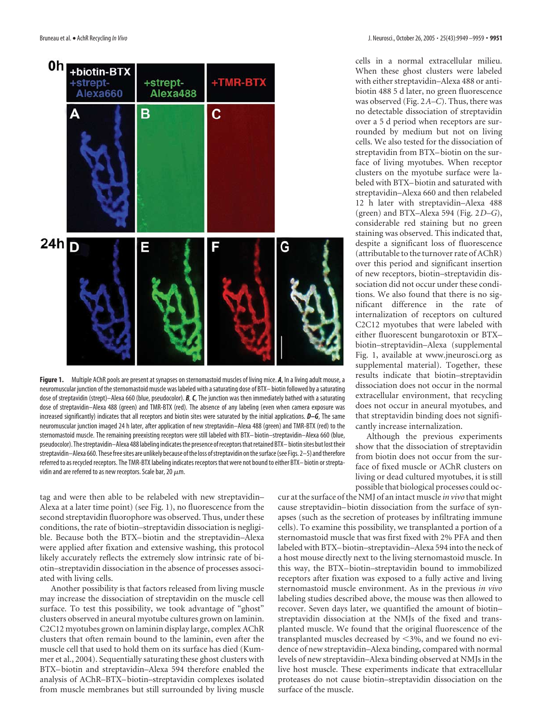

**Figure 1.** Multiple AChR pools are present at synapses on sternomastoid muscles of living mice. *A*, In a living adult mouse, a neuromuscular junction of the sternomastoid muscle was labeled with a saturating dose of BTX– biotin followed by a saturating dose of streptavidin (strept)–Alexa 660 (blue, pseudocolor). *B,C*, The junction was then immediately bathed with a saturating dose of streptavidin–Alexa 488 (green) and TMR-BTX (red). The absence of any labeling (even when camera exposure was increased significantly) indicates that all receptors and biotin sites were saturated by the initial applications. *D–G*, The same neuromuscular junction imaged 24 h later, after application of new streptavidin–Alexa 488 (green) and TMR-BTX (red) to the sternomastoid muscle. The remaining preexisting receptors were still labeled with BTX– biotin–streptavidin–Alexa 660 (blue, pseudocolor). The streptavidin–Alexa 488 labeling indicates the presence of receptors that retained BTX– biotin sites but lost their streptavidin–Alexa 660. These free sites are unlikely because of the loss of streptavidin on the surface (see Figs. 2–5) and therefore referred to as recycled receptors. The TMR-BTX labeling indicates receptors that were not bound to either BTX– biotin or streptavidin and are referred to as new receptors. Scale bar, 20  $\mu$ m.

tag and were then able to be relabeled with new streptavidin– Alexa at a later time point) (see Fig. 1), no fluorescence from the second streptavidin fluorophore was observed. Thus, under these conditions, the rate of biotin–streptavidin dissociation is negligible. Because both the BTX– biotin and the streptavidin–Alexa were applied after fixation and extensive washing, this protocol likely accurately reflects the extremely slow intrinsic rate of biotin–streptavidin dissociation in the absence of processes associated with living cells.

Another possibility is that factors released from living muscle may increase the dissociation of streptavidin on the muscle cell surface. To test this possibility, we took advantage of "ghost" clusters observed in aneural myotube cultures grown on laminin. C2C12 myotubes grown on laminin display large, complex AChR clusters that often remain bound to the laminin, even after the muscle cell that used to hold them on its surface has died (Kummer et al., 2004). Sequentially saturating these ghost clusters with BTX– biotin and streptavidin–Alexa 594 therefore enabled the analysis of AChR–BTX– biotin–streptavidin complexes isolated from muscle membranes but still surrounded by living muscle

cells in a normal extracellular milieu. When these ghost clusters were labeled with either streptavidin–Alexa 488 or antibiotin 488 5 d later, no green fluorescence was observed (Fig. 2*A–C*). Thus, there was no detectable dissociation of streptavidin over a 5 d period when receptors are surrounded by medium but not on living cells. We also tested for the dissociation of streptavidin from BTX– biotin on the surface of living myotubes. When receptor clusters on the myotube surface were labeled with BTX– biotin and saturated with streptavidin–Alexa 660 and then relabeled 12 h later with streptavidin–Alexa 488 (green) and BTX–Alexa 594 (Fig. 2*D–G*), considerable red staining but no green staining was observed. This indicated that, despite a significant loss of fluorescence (attributable to the turnover rate of AChR) over this period and significant insertion of new receptors, biotin–streptavidin dissociation did not occur under these conditions. We also found that there is no significant difference in the rate of internalization of receptors on cultured C2C12 myotubes that were labeled with either fluorescent bungarotoxin or BTX– biotin–streptavidin–Alexa (supplemental Fig. 1, available at www.jneurosci.org as supplemental material). Together, these results indicate that biotin–streptavidin dissociation does not occur in the normal extracellular environment, that recycling does not occur in aneural myotubes, and that streptavidin binding does not significantly increase internalization.

Although the previous experiments show that the dissociation of streptavidin from biotin does not occur from the surface of fixed muscle or AChR clusters on living or dead cultured myotubes, it is still possible that biological processes could oc-

cur at the surface of the NMJ of an intact muscle *in vivo* that might cause streptavidin– biotin dissociation from the surface of synapses (such as the secretion of proteases by infiltrating immune cells). To examine this possibility, we transplanted a portion of a sternomastoid muscle that was first fixed with 2% PFA and then labeled with BTX– biotin–streptavidin–Alexa 594 into the neck of a host mouse directly next to the living sternomastoid muscle. In this way, the BTX– biotin–streptavidin bound to immobilized receptors after fixation was exposed to a fully active and living sternomastoid muscle environment. As in the previous *in vivo* labeling studies described above, the mouse was then allowed to recover. Seven days later, we quantified the amount of biotin– streptavidin dissociation at the NMJs of the fixed and transplanted muscle. We found that the original fluorescence of the transplanted muscles decreased by  $\leq$ 3%, and we found no evidence of new streptavidin–Alexa binding, compared with normal levels of new streptavidin–Alexa binding observed at NMJs in the live host muscle. These experiments indicate that extracellular proteases do not cause biotin–streptavidin dissociation on the surface of the muscle.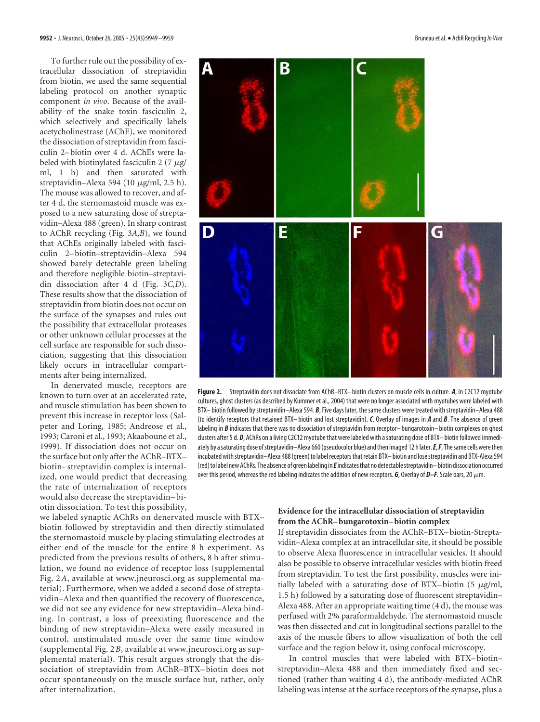To further rule out the possibility of extracellular dissociation of streptavidin from biotin, we used the same sequential labeling protocol on another synaptic component *in vivo*. Because of the availability of the snake toxin fasciculin 2, which selectively and specifically labels acetycholinestrase (AChE), we monitored the dissociation of streptavidin from fasciculin 2– biotin over 4 d. AChEs were labeled with biotinylated fasciculin 2 (7  $\mu$ g/ ml, 1 h) and then saturated with streptavidin–Alexa 594 (10  $\mu$ g/ml, 2.5 h). The mouse was allowed to recover, and after 4 d, the sternomastoid muscle was exposed to a new saturating dose of streptavidin–Alexa 488 (green). In sharp contrast to AChR recycling (Fig. 3*A,B*), we found that AChEs originally labeled with fasciculin 2– biotin–streptavidin–Alexa 594 showed barely detectable green labeling and therefore negligible biotin–streptavidin dissociation after 4 d (Fig. 3*C,D*). These results show that the dissociation of streptavidin from biotin does not occur on the surface of the synapses and rules out the possibility that extracellular proteases or other unknown cellular processes at the cell surface are responsible for such dissociation, suggesting that this dissociation likely occurs in intracellular compartments after being internalized.

In denervated muscle, receptors are known to turn over at an accelerated rate, and muscle stimulation has been shown to prevent this increase in receptor loss (Salpeter and Loring, 1985; Andreose et al., 1993; Caroni et al., 1993; Akaaboune et al., 1999). If dissociation does not occur on the surface but only after the AChR–BTX– biotin- streptavidin complex is internalized, one would predict that decreasing the rate of internalization of receptors would also decrease the streptavidin– biotin dissociation. To test this possibility,

we labeled synaptic AChRs on denervated muscle with BTX– biotin followed by streptavidin and then directly stimulated the sternomastoid muscle by placing stimulating electrodes at either end of the muscle for the entire 8 h experiment. As predicted from the previous results of others, 8 h after stimulation, we found no evidence of receptor loss (supplemental Fig. 2*A*, available at www.jneurosci.org as supplemental material). Furthermore, when we added a second dose of streptavidin–Alexa and then quantified the recovery of fluorescence, we did not see any evidence for new streptavidin–Alexa binding. In contrast, a loss of preexisting fluorescence and the binding of new streptavidin–Alexa were easily measured in control, unstimulated muscle over the same time window (supplemental Fig. 2*B*, available at www.jneurosci.org as supplemental material). This result argues strongly that the dissociation of streptavidin from AChR–BTX– biotin does not occur spontaneously on the muscle surface but, rather, only after internalization.



**Figure 2.** Streptavidin does not dissociate from AChR–BTX– biotin clusters on muscle cells in culture. *A*, In C2C12 myotube cultures, ghost clusters (as described by Kummer et al., 2004) that were no longer associated with myotubes were labeled with BTX– biotin followed by streptavidin–Alexa 594. *B*, Five days later, the same clusters were treated with streptavidin–Alexa 488 (to identify receptors that retained BTX– biotin and lost streptavidin). *C*, Overlay of images in *A* and *B*. The absence of green labeling in *B* indicates that there was no dissociation of streptavidin from receptor– bungarotoxin– biotin complexes on ghost clusters after 5 d. *D*, AChRs on a living C2C12 myotube that were labeled with a saturating dose of BTX– biotin followed immediately by a saturating dose of streptavidin–Alexa 660 (pseudocolor blue) and then imaged 12 h later. *E*, *F*, The same cells were then incubated with streptavidin–Alexa 488 (green) to label receptors that retain BTX– biotin and lose streptavidin and BTX-Alexa 594 (red) to label new AChRs. The absence of green labeling in *E*indicates that no detectable streptavidin– biotin dissociation occurred over this period, whereas the red labeling indicates the addition of new receptors. *G*, Overlay of *D–F*. Scale bars, 20 μm.

#### **Evidence for the intracellular dissociation of streptavidin from the AChR– bungarotoxin– biotin complex**

If streptavidin dissociates from the AChR–BTX– biotin-Streptavidin–Alexa complex at an intracellular site, it should be possible to observe Alexa fluorescence in intracellular vesicles. It should also be possible to observe intracellular vesicles with biotin freed from streptavidin. To test the first possibility, muscles were initially labeled with a saturating dose of BTX–biotin  $(5 \mu g/ml)$ , 1.5 h) followed by a saturating dose of fluorescent streptavidin– Alexa 488. After an appropriate waiting time (4 d), the mouse was perfused with 2% paraformaldehyde. The sternomastoid muscle was then dissected and cut in longitudinal sections parallel to the axis of the muscle fibers to allow visualization of both the cell surface and the region below it, using confocal microscopy.

In control muscles that were labeled with BTX– biotin– streptavidin–Alexa 488 and then immediately fixed and sectioned (rather than waiting 4 d), the antibody-mediated AChR labeling was intense at the surface receptors of the synapse, plus a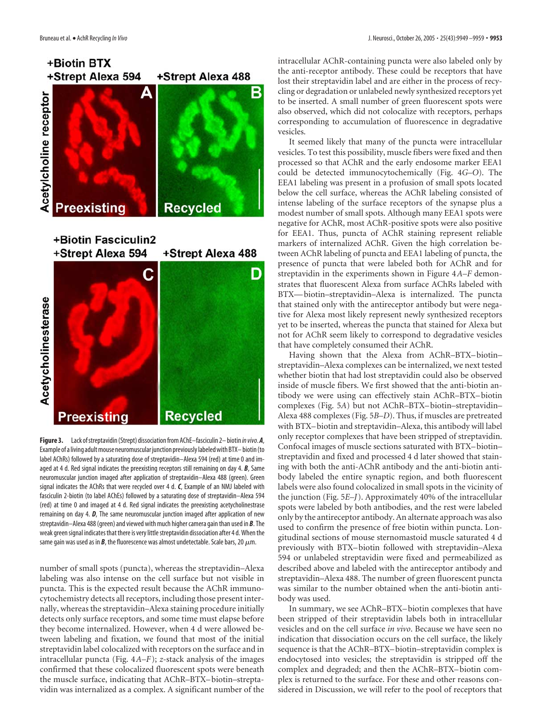

+Biotin Fasciculin2 +Strept Alexa 594 +Strept Alexa 488



**Figure 3.** Lack ofstreptavidin(Strept) dissociationfrom AChE–fasciculin 2– biotin *in vivo*. *A*, Example of a living adult mouse neuromuscular junction previously labeled with BTX-biotin (to label AChRs) followed by a saturating dose of streptavidin–Alexa 594 (red) at time 0 and imaged at 4 d. Red signal indicates the preexisting receptors still remaining on day 4. *B*, Same neuromuscular junction imaged after application of streptavidin–Alexa 488 (green). Green signal indicates the AChRs that were recycled over 4 d. *C*, Example of an NMJ labeled with fasciculin 2-biotin (to label AChEs) followed by a saturating dose of streptavidin–Alexa 594 (red) at time 0 and imaged at 4 d. Red signal indicates the preexisting acetycholinestrase remaining on day 4. *D*, The same neuromuscular junction imaged after application of new streptavidin–Alexa 488 (green) and viewed with much higher camera gain than used in *B*. The weak green signal indicates that there is very little streptavidin dissociation after 4 d. When the same gain was used as in  $B$ , the fluorescence was almost undetectable. Scale bars, 20  $\mu$ m.

number of small spots (puncta), whereas the streptavidin–Alexa labeling was also intense on the cell surface but not visible in puncta. This is the expected result because the AChR immunocytochemistry detects all receptors, including those present internally, whereas the streptavidin–Alexa staining procedure initially detects only surface receptors, and some time must elapse before they become internalized. However, when 4 d were allowed between labeling and fixation, we found that most of the initial streptavidin label colocalized with receptors on the surface and in intracellular puncta (Fig. 4*A–F*); *z*-stack analysis of the images confirmed that these colocalized fluorescent spots were beneath the muscle surface, indicating that AChR–BTX– biotin–streptavidin was internalized as a complex. A significant number of the

intracellular AChR-containing puncta were also labeled only by the anti-receptor antibody. These could be receptors that have lost their streptavidin label and are either in the process of recycling or degradation or unlabeled newly synthesized receptors yet to be inserted. A small number of green fluorescent spots were also observed, which did not colocalize with receptors, perhaps corresponding to accumulation of fluorescence in degradative vesicles.

It seemed likely that many of the puncta were intracellular vesicles. To test this possibility, muscle fibers were fixed and then processed so that AChR and the early endosome marker EEA1 could be detected immunocytochemically (Fig. 4*G–O*). The EEA1 labeling was present in a profusion of small spots located below the cell surface, whereas the AChR labeling consisted of intense labeling of the surface receptors of the synapse plus a modest number of small spots. Although many EEA1 spots were negative for AChR, most AChR-positive spots were also positive for EEA1. Thus, puncta of AChR staining represent reliable markers of internalized AChR. Given the high correlation between AChR labeling of puncta and EEA1 labeling of puncta, the presence of puncta that were labeled both for AChR and for streptavidin in the experiments shown in Figure 4*A–F* demonstrates that fluorescent Alexa from surface AChRs labeled with BTX— biotin–streptavidin–Alexa is internalized. The puncta that stained only with the antireceptor antibody but were negative for Alexa most likely represent newly synthesized receptors yet to be inserted, whereas the puncta that stained for Alexa but not for AChR seem likely to correspond to degradative vesicles that have completely consumed their AChR.

Having shown that the Alexa from AChR–BTX– biotin– streptavidin–Alexa complexes can be internalized, we next tested whether biotin that had lost streptavidin could also be observed inside of muscle fibers. We first showed that the anti-biotin antibody we were using can effectively stain AChR–BTX– biotin complexes (Fig. 5*A*) but not AChR–BTX– biotin–streptavidin– Alexa 488 complexes (Fig. 5*B–D*). Thus, if muscles are pretreated with BTX– biotin and streptavidin–Alexa, this antibody will label only receptor complexes that have been stripped of streptavidin. Confocal images of muscle sections saturated with BTX– biotin– streptavidin and fixed and processed 4 d later showed that staining with both the anti-AChR antibody and the anti-biotin antibody labeled the entire synaptic region, and both fluorescent labels were also found colocalized in small spots in the vicinity of the junction (Fig. 5*E–J*). Approximately 40% of the intracellular spots were labeled by both antibodies, and the rest were labeled only by the antireceptor antibody. An alternate approach was also used to confirm the presence of free biotin within puncta. Longitudinal sections of mouse sternomastoid muscle saturated 4 d previously with BTX– biotin followed with streptavidin–Alexa 594 or unlabeled streptavidin were fixed and permeabilized as described above and labeled with the antireceptor antibody and streptavidin–Alexa 488. The number of green fluorescent puncta was similar to the number obtained when the anti-biotin antibody was used.

In summary, we see AChR–BTX– biotin complexes that have been stripped of their streptavidin labels both in intracellular vesicles and on the cell surface *in vivo*. Because we have seen no indication that dissociation occurs on the cell surface, the likely sequence is that the AChR–BTX– biotin–streptavidin complex is endocytosed into vesicles; the streptavidin is stripped off the complex and degraded; and then the AChR–BTX– biotin complex is returned to the surface. For these and other reasons considered in Discussion, we will refer to the pool of receptors that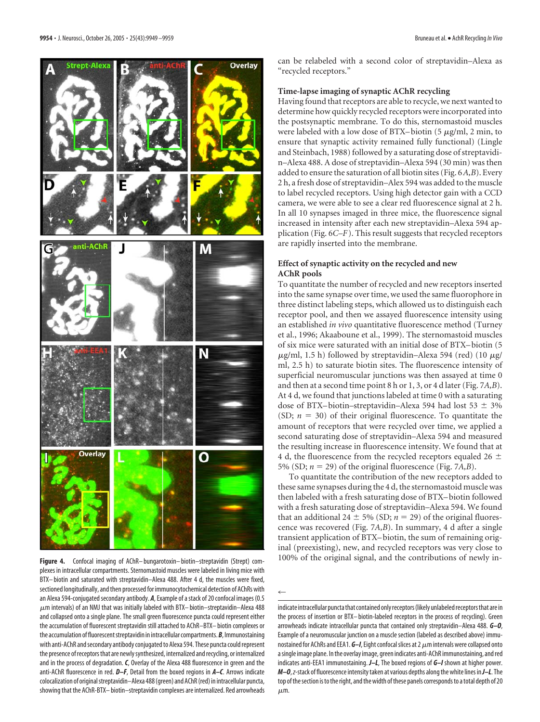**Strept-Alexa** 

anti-AChR

Μ

Ñ

O

the postsynaptic membrane. To do this, sternomastoid muscles were labeled with a low dose of BTX–biotin  $(5 \mu g/ml, 2 \text{ min}, to$ ensure that synaptic activity remained fully functional) (Lingle and Steinbach, 1988) followed by a saturating dose of streptavidin–Alexa 488. A dose of streptavidin–Alexa 594 (30 min) was then added to ensure the saturation of all biotin sites (Fig. 6*A,B*). Every 2 h, a fresh dose of streptavidin–Alex 594 was added to the muscle to label recycled receptors. Using high detector gain with a CCD camera, we were able to see a clear red fluorescence signal at 2 h. In all 10 synapses imaged in three mice, the fluorescence signal increased in intensity after each new streptavidin–Alexa 594 application (Fig. 6*C–F*). This result suggests that recycled receptors are rapidly inserted into the membrane.

#### **Effect of synaptic activity on the recycled and new AChR pools**

To quantitate the number of recycled and new receptors inserted into the same synapse over time, we used the same fluorophore in three distinct labeling steps, which allowed us to distinguish each receptor pool, and then we assayed fluorescence intensity using an established *in vivo* quantitative fluorescence method (Turney et al., 1996; Akaaboune et al., 1999). The sternomastoid muscles of six mice were saturated with an initial dose of BTX– biotin (5  $\mu$ g/ml, 1.5 h) followed by streptavidin–Alexa 594 (red) (10  $\mu$ g/ ml, 2.5 h) to saturate biotin sites. The fluorescence intensity of superficial neuromuscular junctions was then assayed at time 0 and then at a second time point 8 h or 1, 3, or 4 d later (Fig. 7*A,B*). At 4 d, we found that junctions labeled at time 0 with a saturating dose of BTX–biotin–streptavidin–Alexa 594 had lost 53  $\pm$  3% (SD;  $n = 30$ ) of their original fluorescence. To quantitate the amount of receptors that were recycled over time, we applied a second saturating dose of streptavidin–Alexa 594 and measured the resulting increase in fluorescence intensity. We found that at 4 d, the fluorescence from the recycled receptors equaled 26  $\pm$ 5% (SD;  $n = 29$ ) of the original fluorescence (Fig. 7*A,B*).

To quantitate the contribution of the new receptors added to these same synapses during the 4 d, the sternomastoid muscle was then labeled with a fresh saturating dose of BTX– biotin followed with a fresh saturating dose of streptavidin–Alexa 594. We found that an additional 24  $\pm$  5% (SD;  $n = 29$ ) of the original fluorescence was recovered (Fig. 7*A,B*). In summary, 4 d after a single transient application of BTX– biotin, the sum of remaining original (preexisting), new, and recycled receptors was very close to 100% of the original signal, and the contributions of newly in-

 $\leftarrow$ 



indicate intracellular puncta that contained only receptors (likely unlabeled receptors that are in the process of insertion or BTX– biotin-labeled receptors in the process of recycling). Green arrowheads indicate intracellular puncta that contained only streptavidin–Alexa 488. *G–O*, Example of a neuromuscular junction on a muscle section (labeled as described above) immunostained for AChRs and EEA1.  $G-I$ , Eight confocal slices at 2  $\mu$ m intervals were collapsed onto a single image plane. In the overlay image, green indicates anti-AChR immunostaining, and red indicates anti-EEA1 immunostaining. *J–L*, The boxed regions of *G–I* shown at higher power. *M*−*O*, *z*-stack of fluorescence intensity taken at various depths along the white lines in *J*−*L*. The top of the section is to the right, and the width of these panels corresponds to a total depth of 20  $µm.$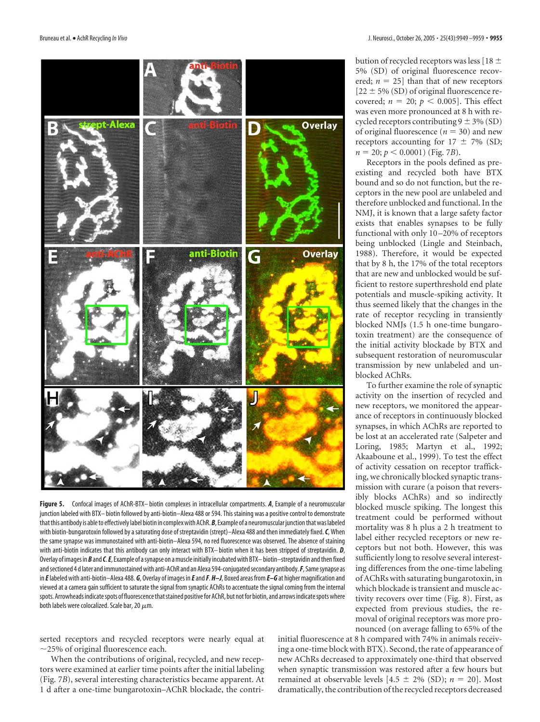

**Figure 5.** Confocal images of AChR-BTX– biotin complexes in intracellular compartments. *A*, Example of a neuromuscular junction labeled with BTX– biotin followed by anti-biotin–Alexa 488 or 594. This staining was a positive control to demonstrate that this antibody is able to effectively label biotin in complex with AChR. **B**, Example of a neuromuscular junction that was labeled with biotin-bungarotoxin followed by a saturating dose of streptavidin (strept)–Alexa 488 and then immediately fixed. C, When the same synapse was immunostained with anti-biotin–Alexa 594, no red fluorescence was observed. The absence of staining with anti-biotin indicates that this antibody can only interact with BTX– biotin when it has been stripped of streptavidin. *D*, Overlay of images in*B*and*C*.*E*, Example of asynapse on amuscle initially incubatedwith BTX– biotin–streptavidin andthenfixed and sectioned 4 d later and immunostained with anti-AChR and an Alexa 594-conjugated secondary antibody. F, Same synapse as in *E*labeled with anti-biotin–Alexa 488. *G*, Overlay of images in *E*and*F*. *H–J*, Boxed areas from*E–G* at higher magnification and viewed at a camera gain sufficient to saturate the signal from synaptic AChRs to accentuate the signal coming from the internal spots. Arrowheads indicate spots of fluorescence that stained positive for AChR, but not for biotin, and arrows indicate spots where both labels were colocalized. Scale bar, 20  $\mu$ m.

serted receptors and recycled receptors were nearly equal at  $\sim$ 25% of original fluorescence each.

When the contributions of original, recycled, and new receptors were examined at earlier time points after the initial labeling (Fig. 7*B*), several interesting characteristics became apparent. At 1 d after a one-time bungarotoxin–AChR blockade, the contribution of recycled receptors was less [18  $\pm$ 5% (SD) of original fluorescence recovered;  $n = 25$ ] than that of new receptors  $[22 \pm 5\%$  (SD) of original fluorescence recovered;  $n = 20$ ;  $p < 0.005$ ]. This effect was even more pronounced at 8 h with recycled receptors contributing  $9 \pm 3\%$  (SD) of original fluorescence  $(n = 30)$  and new receptors accounting for  $17 \pm 7\%$  (SD;  $n = 20; p < 0.0001$  (Fig. 7*B*).

Receptors in the pools defined as preexisting and recycled both have BTX bound and so do not function, but the receptors in the new pool are unlabeled and therefore unblocked and functional. In the NMJ, it is known that a large safety factor exists that enables synapses to be fully functional with only 10 –20% of receptors being unblocked (Lingle and Steinbach, 1988). Therefore, it would be expected that by 8 h, the 17% of the total receptors that are new and unblocked would be sufficient to restore superthreshold end plate potentials and muscle-spiking activity. It thus seemed likely that the changes in the rate of receptor recycling in transiently blocked NMJs (1.5 h one-time bungarotoxin treatment) are the consequence of the initial activity blockade by BTX and subsequent restoration of neuromuscular transmission by new unlabeled and unblocked AChRs.

To further examine the role of synaptic activity on the insertion of recycled and new receptors, we monitored the appearance of receptors in continuously blocked synapses, in which AChRs are reported to be lost at an accelerated rate (Salpeter and Loring, 1985; Martyn et al., 1992; Akaaboune et al., 1999). To test the effect of activity cessation on receptor trafficking, we chronically blocked synaptic transmission with curare (a poison that reversibly blocks AChRs) and so indirectly blocked muscle spiking. The longest this treatment could be performed without mortality was 8 h plus a 2 h treatment to label either recycled receptors or new receptors but not both. However, this was sufficiently long to resolve several interesting differences from the one-time labeling of AChRs with saturating bungarotoxin, in which blockade is transient and muscle activity recovers over time (Fig. 8). First, as expected from previous studies, the removal of original receptors was more pronounced (on average falling to 65% of the

initial fluorescence at 8 h compared with 74% in animals receiving a one-time block with BTX). Second, the rate of appearance of new AChRs decreased to approximately one-third that observed when synaptic transmission was restored after a few hours but remained at observable levels  $[4.5 \pm 2\%$  (SD);  $n = 20$ ]. Most dramatically, the contribution of the recycled receptors decreased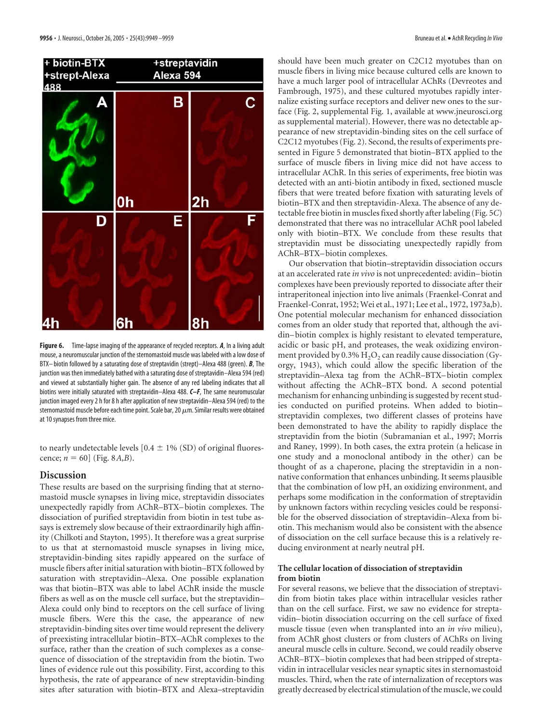

**Figure 6.** Time-lapse imaging of the appearance of recycled receptors. *A*, In a living adult mouse, a neuromuscular junction of the sternomastoid muscle was labeled with a low dose of BTX– biotin followed by a saturating dose of streptavidin (strept)–Alexa 488 (green). *B*, The junction was then immediately bathed with a saturating dose of streptavidin–Alexa 594 (red) and viewed at substantially higher gain. The absence of any red labeling indicates that all biotins were initially saturated with streptavidin–Alexa 488. *C–F*, The same neuromuscular junction imaged every 2 h for 8 h after application of new streptavidin–Alexa 594 (red) to the sternomastoid muscle before each time point. Scale bar, 20  $\mu$ m. Similar results were obtained at 10 synapses from three mice.

to nearly undetectable levels  $[0.4 \pm 1\%$  (SD) of original fluorescence;  $n = 60$ ] (Fig. 8*A,B*).

#### **Discussion**

These results are based on the surprising finding that at sternomastoid muscle synapses in living mice, streptavidin dissociates unexpectedly rapidly from AChR–BTX– biotin complexes. The dissociation of purified streptavidin from biotin in test tube assays is extremely slow because of their extraordinarily high affinity (Chilkoti and Stayton, 1995). It therefore was a great surprise to us that at sternomastoid muscle synapses in living mice, streptavidin-binding sites rapidly appeared on the surface of muscle fibers after initial saturation with biotin–BTX followed by saturation with streptavidin–Alexa. One possible explanation was that biotin–BTX was able to label AChR inside the muscle fibers as well as on the muscle cell surface, but the streptavidin– Alexa could only bind to receptors on the cell surface of living muscle fibers. Were this the case, the appearance of new streptavidin-binding sites over time would represent the delivery of preexisting intracellular biotin–BTX–AChR complexes to the surface, rather than the creation of such complexes as a consequence of dissociation of the streptavidin from the biotin. Two lines of evidence rule out this possibility. First, according to this hypothesis, the rate of appearance of new streptavidin-binding sites after saturation with biotin–BTX and Alexa–streptavidin

should have been much greater on C2C12 myotubes than on muscle fibers in living mice because cultured cells are known to have a much larger pool of intracellular AChRs (Devreotes and Fambrough, 1975), and these cultured myotubes rapidly internalize existing surface receptors and deliver new ones to the surface (Fig. 2, supplemental Fig. 1, available at www.jneurosci.org as supplemental material). However, there was no detectable appearance of new streptavidin-binding sites on the cell surface of C2C12 myotubes (Fig. 2). Second, the results of experiments presented in Figure 5 demonstrated that biotin–BTX applied to the surface of muscle fibers in living mice did not have access to intracellular AChR. In this series of experiments, free biotin was detected with an anti-biotin antibody in fixed, sectioned muscle fibers that were treated before fixation with saturating levels of biotin–BTX and then streptavidin-Alexa. The absence of any detectable free biotin in muscles fixed shortly after labeling (Fig. 5*C*) demonstrated that there was no intracellular AChR pool labeled only with biotin–BTX. We conclude from these results that streptavidin must be dissociating unexpectedly rapidly from AChR–BTX– biotin complexes.

Our observation that biotin–streptavidin dissociation occurs at an accelerated rate *in vivo* is not unprecedented: avidin– biotin complexes have been previously reported to dissociate after their intraperitoneal injection into live animals (Fraenkel-Conrat and Fraenkel-Conrat, 1952; Wei et al., 1971; Lee et al., 1972, 1973a,b). One potential molecular mechanism for enhanced dissociation comes from an older study that reported that, although the avidin– biotin complex is highly resistant to elevated temperature, acidic or basic pH, and proteases, the weak oxidizing environment provided by 0.3%  $H_2O_2$  can readily cause dissociation (Gyorgy, 1943), which could allow the specific liberation of the streptavidin–Alexa tag from the AChR–BTX– biotin complex without affecting the AChR–BTX bond. A second potential mechanism for enhancing unbinding is suggested by recent studies conducted on purified proteins. When added to biotin– streptavidin complexes, two different classes of proteins have been demonstrated to have the ability to rapidly displace the streptavidin from the biotin (Subramanian et al., 1997; Morris and Raney, 1999). In both cases, the extra protein (a helicase in one study and a monoclonal antibody in the other) can be thought of as a chaperone, placing the streptavidin in a nonnative conformation that enhances unbinding. It seems plausible that the combination of low pH, an oxidizing environment, and perhaps some modification in the conformation of streptavidin by unknown factors within recycling vesicles could be responsible for the observed dissociation of streptavidin–Alexa from biotin. This mechanism would also be consistent with the absence of dissociation on the cell surface because this is a relatively reducing environment at nearly neutral pH.

#### **The cellular location of dissociation of streptavidin from biotin**

For several reasons, we believe that the dissociation of streptavidin from biotin takes place within intracellular vesicles rather than on the cell surface. First, we saw no evidence for streptavidin– biotin dissociation occurring on the cell surface of fixed muscle tissue (even when transplanted into an *in vivo* milieu), from AChR ghost clusters or from clusters of AChRs on living aneural muscle cells in culture. Second, we could readily observe AChR–BTX– biotin complexes that had been stripped of streptavidin in intracellular vesicles near synaptic sites in sternomastoid muscles. Third, when the rate of internalization of receptors was greatly decreased by electrical stimulation of the muscle, we could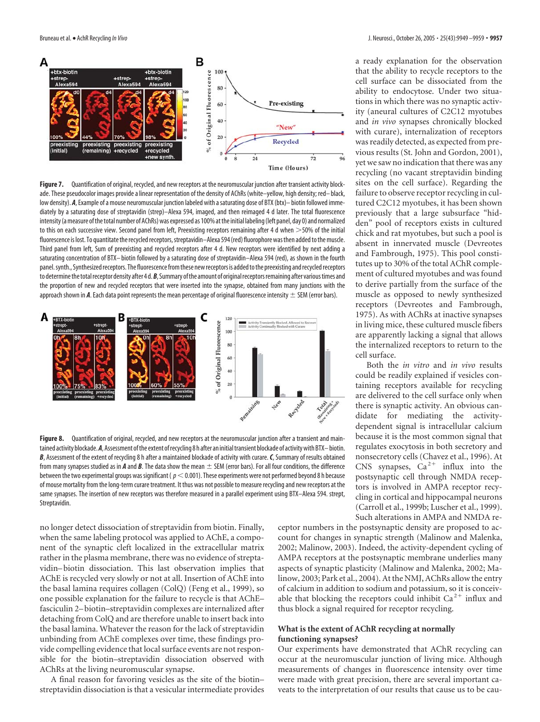

**Figure 7.** Quantification of original, recycled, and new receptors at the neuromuscular junction after transient activity blockade. These pseudocolor images provide a linear representation of the density of AChRs (white–yellow, high density; red– black, low density). *A*, Example of a mouse neuromuscular junction labeled with a saturating dose of BTX (btx)– biotin followed immediately by a saturating dose of streptavidin (strep)–Alexa 594, imaged, and then reimaged 4 d later. The total fluorescence intensity (a measure of the total number of AChRs) was expressed as 100% at the initial labeling (left panel, day 0) and normalized to this on each successive view. Second panel from left, Preexisting receptors remaining after 4 d when  $>$ 50% of the initial fluorescence is lost. To quantitate the recycled receptors, streptavidin–Alexa 594 (red) fluorophore was then added to the muscle. Third panel from left, Sum of preexisting and recycled receptors after 4 d. New receptors were identified by next adding a saturating concentration of BTX– biotin followed by a saturating dose of streptavidin–Alexa 594 (red), as shown in the fourth panel. synth., Synthesized receptors. The fluorescence from these new receptors is added to the preexisting and recycled receptors to determine the total receptor density after 4 d. B, Summary of the amount of original receptors remaining after various times and the proportion of new and recycled receptors that were inserted into the synapse, obtained from many junctions with the approach shown in  $A$ . Each data point represents the mean percentage of original fluorescence intensity  $\pm$  SEM (error bars).



**Figure 8.** Quantification of original, recycled, and new receptors at the neuromuscular junction after a transient and maintained activity blockade. *A*, Assessment ofthe extent ofrecycling 8 h after an initialtransient blockade of activitywith BTX– biotin. *B*, Assessment of the extent of recycling 8 h after a maintained blockade of activity with curare.*C*, Summary of results obtained from many synapses studied as in  $A$  and  $B$ . The data show the mean  $\pm$  SEM (error bars). For all four conditions, the difference between the two experimental groups was significant (  $p$   $<$  0.001). These experiments were not performed beyond 8 h because of mouse mortality from the long-term curare treatment. It thus was not possible to measure recycling and new receptors at the same synapses. The insertion of new receptors was therefore measured in a parallel experiment using BTX–Alexa 594. strept, Streptavidin.

no longer detect dissociation of streptavidin from biotin. Finally, when the same labeling protocol was applied to AChE, a component of the synaptic cleft localized in the extracellular matrix rather in the plasma membrane, there was no evidence of streptavidin– biotin dissociation. This last observation implies that AChE is recycled very slowly or not at all. Insertion of AChE into the basal lamina requires collagen (ColQ) (Feng et al., 1999), so one possible explanation for the failure to recycle is that AChE– fasciculin 2– biotin–streptavidin complexes are internalized after detaching from ColQ and are therefore unable to insert back into the basal lamina. Whatever the reason for the lack of streptavidin unbinding from AChE complexes over time, these findings provide compelling evidence that local surface events are not responsible for the biotin–streptavidin dissociation observed with AChRs at the living neuromuscular synapse.

A final reason for favoring vesicles as the site of the biotin– streptavidin dissociation is that a vesicular intermediate provides

a ready explanation for the observation that the ability to recycle receptors to the cell surface can be dissociated from the ability to endocytose. Under two situations in which there was no synaptic activity (aneural cultures of C2C12 myotubes and *in vivo* synapses chronically blocked with curare), internalization of receptors was readily detected, as expected from previous results (St. John and Gordon, 2001), yet we saw no indication that there was any recycling (no vacant streptavidin binding sites on the cell surface). Regarding the failure to observe receptor recycling in cultured C2C12 myotubes, it has been shown previously that a large subsurface "hidden" pool of receptors exists in cultured chick and rat myotubes, but such a pool is absent in innervated muscle (Devreotes and Fambrough, 1975). This pool constitutes up to 30% of the total AChR complement of cultured myotubes and was found to derive partially from the surface of the muscle as opposed to newly synthesized receptors (Devreotes and Fambrough, 1975). As with AChRs at inactive synapses in living mice, these cultured muscle fibers are apparently lacking a signal that allows the internalized receptors to return to the cell surface.

Both the *in vitro* and *in vivo* results could be readily explained if vesicles containing receptors available for recycling are delivered to the cell surface only when there is synaptic activity. An obvious candidate for mediating the activitydependent signal is intracellular calcium because it is the most common signal that regulates exocytosis in both secretory and nonsecretory cells (Chavez et al., 1996). At CNS synapses,  $Ca^{2+}$  influx into the postsynaptic cell through NMDA receptors is involved in AMPA receptor recycling in cortical and hippocampal neurons (Carroll et al., 1999b; Luscher et al., 1999). Such alterations in AMPA and NMDA re-

ceptor numbers in the postsynaptic density are proposed to account for changes in synaptic strength (Malinow and Malenka, 2002; Malinow, 2003). Indeed, the activity-dependent cycling of AMPA receptors at the postsynaptic membrane underlies many aspects of synaptic plasticity (Malinow and Malenka, 2002; Malinow, 2003; Park et al., 2004). At the NMJ, AChRs allow the entry of calcium in addition to sodium and potassium, so it is conceivable that blocking the receptors could inhibit  $Ca^{2+}$  influx and thus block a signal required for receptor recycling.

#### **What is the extent of AChR recycling at normally functioning synapses?**

Our experiments have demonstrated that AChR recycling can occur at the neuromuscular junction of living mice. Although measurements of changes in fluorescence intensity over time were made with great precision, there are several important caveats to the interpretation of our results that cause us to be cau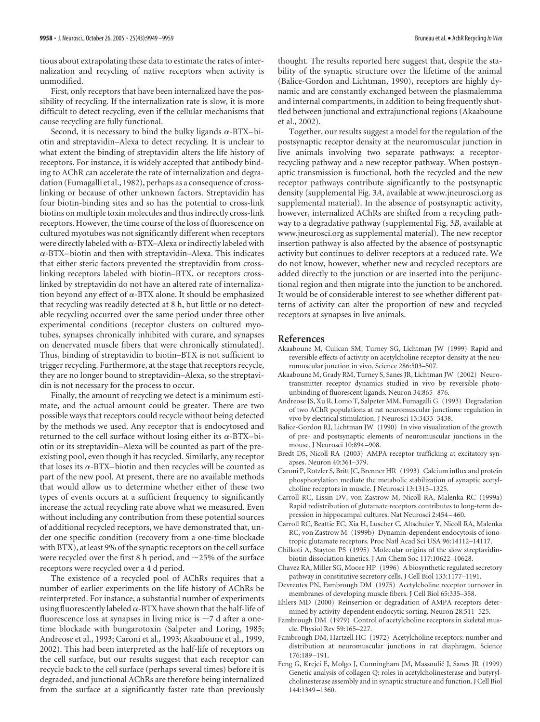tious about extrapolating these data to estimate the rates of internalization and recycling of native receptors when activity is unmodified.

First, only receptors that have been internalized have the possibility of recycling. If the internalization rate is slow, it is more difficult to detect recycling, even if the cellular mechanisms that cause recycling are fully functional.

Second, it is necessary to bind the bulky ligands  $\alpha$ -BTX-biotin and streptavidin–Alexa to detect recycling. It is unclear to what extent the binding of streptavidin alters the life history of receptors. For instance, it is widely accepted that antibody binding to AChR can accelerate the rate of internalization and degradation (Fumagalli et al., 1982), perhaps as a consequence of crosslinking or because of other unknown factors. Streptavidin has four biotin-binding sites and so has the potential to cross-link biotins on multiple toxin molecules and thus indirectly cross-link receptors. However, the time course of the loss of fluorescence on cultured myotubes was not significantly different when receptors were directly labeled with  $\alpha$ -BTX–Alexa or indirectly labeled with  $\alpha$ -BTX–biotin and then with streptavidin–Alexa. This indicates that either steric factors prevented the streptavidin from crosslinking receptors labeled with biotin–BTX, or receptors crosslinked by streptavidin do not have an altered rate of internalization beyond any effect of  $\alpha$ -BTX alone. It should be emphasized that recycling was readily detected at 8 h, but little or no detectable recycling occurred over the same period under three other experimental conditions (receptor clusters on cultured myotubes, synapses chronically inhibited with curare, and synapses on denervated muscle fibers that were chronically stimulated). Thus, binding of streptavidin to biotin–BTX is not sufficient to trigger recycling. Furthermore, at the stage that receptors recycle, they are no longer bound to streptavidin–Alexa, so the streptavidin is not necessary for the process to occur.

Finally, the amount of recycling we detect is a minimum estimate, and the actual amount could be greater. There are two possible ways that receptors could recycle without being detected by the methods we used. Any receptor that is endocytosed and returned to the cell surface without losing either its  $\alpha$ -BTX-biotin or its streptavidin–Alexa will be counted as part of the preexisting pool, even though it has recycled. Similarly, any receptor that loses its  $\alpha$ -BTX–biotin and then recycles will be counted as part of the new pool. At present, there are no available methods that would allow us to determine whether either of these two types of events occurs at a sufficient frequency to significantly increase the actual recycling rate above what we measured. Even without including any contribution from these potential sources of additional recycled receptors, we have demonstrated that, under one specific condition (recovery from a one-time blockade with BTX), at least 9% of the synaptic receptors on the cell surface were recycled over the first 8 h period, and  $\sim$ 25% of the surface receptors were recycled over a 4 d period.

The existence of a recycled pool of AChRs requires that a number of earlier experiments on the life history of AChRs be reinterpreted. For instance, a substantial number of experiments using fluorescently labeled  $\alpha$ -BTX have shown that the half-life of fluorescence loss at synapses in living mice is  $\sim$ 7 d after a onetime blockade with bungarotoxin (Salpeter and Loring, 1985; Andreose et al., 1993; Caroni et al., 1993; Akaaboune et al., 1999, 2002). This had been interpreted as the half-life of receptors on the cell surface, but our results suggest that each receptor can recycle back to the cell surface (perhaps several times) before it is degraded, and junctional AChRs are therefore being internalized from the surface at a significantly faster rate than previously

thought. The results reported here suggest that, despite the stability of the synaptic structure over the lifetime of the animal (Balice-Gordon and Lichtman, 1990), receptors are highly dynamic and are constantly exchanged between the plasmalemma and internal compartments, in addition to being frequently shuttled between junctional and extrajunctional regions (Akaaboune et al., 2002).

Together, our results suggest a model for the regulation of the postsynaptic receptor density at the neuromuscular junction in live animals involving two separate pathways: a receptorrecycling pathway and a new receptor pathway. When postsynaptic transmission is functional, both the recycled and the new receptor pathways contribute significantly to the postsynaptic density (supplemental Fig. 3*A*, available at www.jneurosci.org as supplemental material). In the absence of postsynaptic activity, however, internalized AChRs are shifted from a recycling pathway to a degradative pathway (supplemental Fig. 3*B*, available at www.jneurosci.org as supplemental material). The new receptor insertion pathway is also affected by the absence of postsynaptic activity but continues to deliver receptors at a reduced rate. We do not know, however, whether new and recycled receptors are added directly to the junction or are inserted into the perijunctional region and then migrate into the junction to be anchored. It would be of considerable interest to see whether different patterns of activity can alter the proportion of new and recycled receptors at synapses in live animals.

#### **References**

- Akaaboune M, Culican SM, Turney SG, Lichtman JW (1999) Rapid and reversible effects of activity on acetylcholine receptor density at the neuromuscular junction in vivo. Science 286:503–507.
- Akaaboune M, Grady RM, Turney S, Sanes JR, Lichtman JW (2002) Neurotransmitter receptor dynamics studied in vivo by reversible photounbinding of fluorescent ligands. Neuron 34:865–876.
- Andreose JS, Xu R, Lomo T, Salpeter MM, Fumagalli G (1993) Degradation of two AChR populations at rat neuromuscular junctions: regulation in vivo by electrical stimulation. J Neurosci 13:3433–3438.
- Balice-Gordon RJ, Lichtman JW (1990) In vivo visualization of the growth of pre- and postsynaptic elements of neuromuscular junctions in the mouse. J Neurosci 10:894 –908.
- Bredt DS, Nicoll RA (2003) AMPA receptor trafficking at excitatory synapses. Neuron 40:361–379.
- Caroni P, Rotzler S, Britt JC, Brenner HR (1993) Calcium influx and protein phosphorylation mediate the metabolic stabilization of synaptic acetylcholine receptors in muscle. J Neurosci 13:1315–1325.
- Carroll RC, Lissin DV, von Zastrow M, Nicoll RA, Malenka RC (1999a) Rapid redistribution of glutamate receptors contributes to long-term depression in hippocampal cultures. Nat Neurosci 2:454 –460.
- Carroll RC, Beattie EC, Xia H, Luscher C, Altschuler Y, Nicoll RA, Malenka RC, von Zastrow M (1999b) Dynamin-dependent endocytosis of ionotropic glutamate receptors. Proc Natl Acad Sci USA 96:14112–14117.
- Chilkoti A, Stayton PS (1995) Molecular origins of the slow streptavidinbiotin dissociation kinetics. J Am Chem Soc 117:10622–10628.
- Chavez RA, Miller SG, Moore HP (1996) A biosynthetic regulated secretory pathway in constitutive secretory cells. J Cell Biol 133:1177–1191.
- Devreotes PN, Fambrough DM (1975) Acetylcholine receptor turnover in membranes of developing muscle fibers. J Cell Biol 65:335–358.
- Ehlers MD (2000) Reinsertion or degradation of AMPA receptors determined by activity-dependent endocytic sorting. Neuron 28:511–525.
- Fambrough DM (1979) Control of acetylcholine receptors in skeletal muscle. Physiol Rev 59:165–227.
- Fambrough DM, Hartzell HC (1972) Acetylcholine receptors: number and distribution at neuromuscular junctions in rat diaphragm. Science 176:189 –191.
- Feng G, Krejci E, Molgo J, Cunningham JM, Massoulié J, Sanes JR (1999) Genetic analysis of collagen Q: roles in acetylcholinesterase and butyrylcholinesterase assembly and in synaptic structure and function. J Cell Biol 144:1349 –1360.